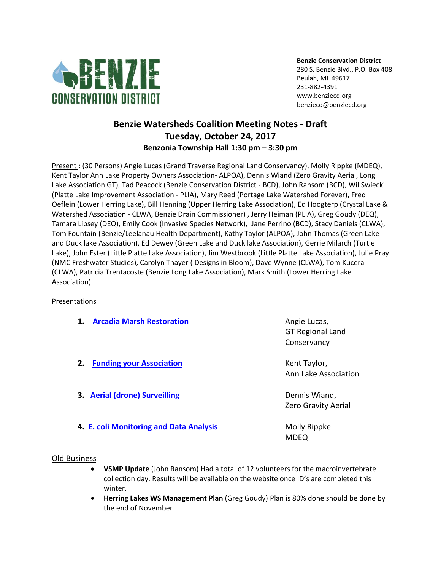

**Benzie Conservation District** 280 S. Benzie Blvd., P.O. Box 408 Beulah, MI 49617 231-882-4391 www.benziecd.org benziecd@benziecd.org

## **Benzie Watersheds Coalition Meeting Notes - Draft Tuesday, October 24, 2017 Benzonia Township Hall 1:30 pm – 3:30 pm**

Present : (30 Persons) Angie Lucas (Grand Traverse Regional Land Conservancy), Molly Rippke (MDEQ), Kent Taylor Ann Lake Property Owners Association- ALPOA), Dennis Wiand (Zero Gravity Aerial, Long Lake Association GT), Tad Peacock (Benzie Conservation District - BCD), John Ransom (BCD), Wil Swiecki (Platte Lake Improvement Association - PLIA), Mary Reed (Portage Lake Watershed Forever), Fred Oeflein (Lower Herring Lake), Bill Henning (Upper Herring Lake Association), Ed Hoogterp (Crystal Lake & Watershed Association - CLWA, Benzie Drain Commissioner) , Jerry Heiman (PLIA), Greg Goudy (DEQ), Tamara Lipsey (DEQ), Emily Cook (Invasive Species Network), Jane Perrino (BCD), Stacy Daniels (CLWA), Tom Fountain (Benzie/Leelanau Health Department), Kathy Taylor (ALPOA), John Thomas (Green Lake and Duck lake Association), Ed Dewey (Green Lake and Duck lake Association), Gerrie Milarch (Turtle Lake), John Ester (Little Platte Lake Association), Jim Westbrook (Little Platte Lake Association), Julie Pray (NMC Freshwater Studies), Carolyn Thayer ( Designs in Bloom), Dave Wynne (CLWA), Tom Kucera (CLWA), Patricia Trentacoste (Benzie Long Lake Association), Mark Smith (Lower Herring Lake Association)

## **Presentations**

| <b>Arcadia Marsh Restoration</b><br>1.  | Angie Lucas,<br><b>GT Regional Land</b><br>Conservancy |
|-----------------------------------------|--------------------------------------------------------|
| <b>Funding your Association</b><br>2.   | Kent Taylor,<br>Ann Lake Association                   |
| 3. Aerial (drone) Surveilling           | Dennis Wiand,<br><b>Zero Gravity Aerial</b>            |
| 4. E. coli Monitoring and Data Analysis | Molly Rippke<br>MDEQ                                   |

## Old Business

- **VSMP Update** (John Ransom) Had a total of 12 volunteers for the macroinvertebrate collection day. Results will be available on the website once ID's are completed this winter.
- **Herring Lakes WS Management Plan** (Greg Goudy) Plan is 80% done should be done by the end of November